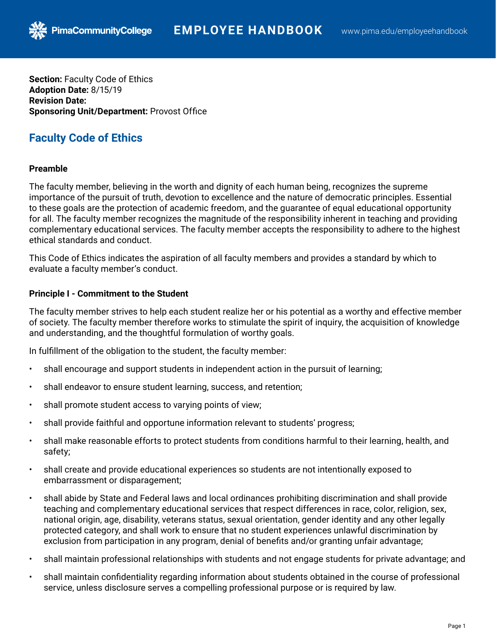**Section: Faculty Code of Ethics Adoption Date:** 8/15/19 **Revision Date: Sponsoring Unit/Department:** Provost Office

**PimaCommunityCollege** 

# **Faculty Code of Ethics**

## **Preamble**

The faculty member, believing in the worth and dignity of each human being, recognizes the supreme importance of the pursuit of truth, devotion to excellence and the nature of democratic principles. Essential to these goals are the protection of academic freedom, and the guarantee of equal educational opportunity for all. The faculty member recognizes the magnitude of the responsibility inherent in teaching and providing complementary educational services. The faculty member accepts the responsibility to adhere to the highest ethical standards and conduct.

This Code of Ethics indicates the aspiration of all faculty members and provides a standard by which to evaluate a faculty member's conduct.

## **Principle I - Commitment to the Student**

The faculty member strives to help each student realize her or his potential as a worthy and effective member of society. The faculty member therefore works to stimulate the spirit of inquiry, the acquisition of knowledge and understanding, and the thoughtful formulation of worthy goals.

In fulfillment of the obligation to the student, the faculty member:

- shall encourage and support students in independent action in the pursuit of learning;
- shall endeavor to ensure student learning, success, and retention;
- shall promote student access to varying points of view;
- shall provide faithful and opportune information relevant to students' progress;
- shall make reasonable efforts to protect students from conditions harmful to their learning, health, and safety;
- shall create and provide educational experiences so students are not intentionally exposed to embarrassment or disparagement;
- shall abide by State and Federal laws and local ordinances prohibiting discrimination and shall provide teaching and complementary educational services that respect differences in race, color, religion, sex, national origin, age, disability, veterans status, sexual orientation, gender identity and any other legally protected category, and shall work to ensure that no student experiences unlawful discrimination by exclusion from participation in any program, denial of benefits and/or granting unfair advantage;
- shall maintain professional relationships with students and not engage students for private advantage; and
- shall maintain confidentiality regarding information about students obtained in the course of professional service, unless disclosure serves a compelling professional purpose or is required by law.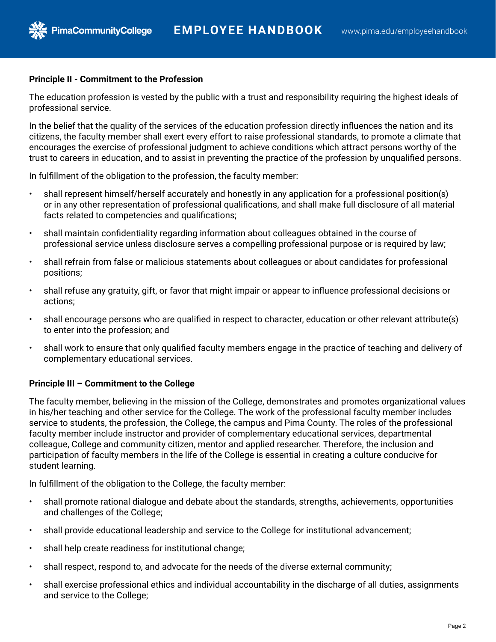#### **Principle II - Commitment to the Profession**

**PimaCommunityCollege** 

The education profession is vested by the public with a trust and responsibility requiring the highest ideals of professional service.

In the belief that the quality of the services of the education profession directly influences the nation and its citizens, the faculty member shall exert every effort to raise professional standards, to promote a climate that encourages the exercise of professional judgment to achieve conditions which attract persons worthy of the trust to careers in education, and to assist in preventing the practice of the profession by unqualified persons.

In fulfillment of the obligation to the profession, the faculty member:

- shall represent himself/herself accurately and honestly in any application for a professional position(s) or in any other representation of professional qualifications, and shall make full disclosure of all material facts related to competencies and qualifications;
- shall maintain confidentiality regarding information about colleagues obtained in the course of professional service unless disclosure serves a compelling professional purpose or is required by law;
- shall refrain from false or malicious statements about colleagues or about candidates for professional positions;
- shall refuse any gratuity, gift, or favor that might impair or appear to influence professional decisions or actions;
- shall encourage persons who are qualified in respect to character, education or other relevant attribute(s) to enter into the profession; and
- shall work to ensure that only qualified faculty members engage in the practice of teaching and delivery of complementary educational services.

#### **Principle III – Commitment to the College**

The faculty member, believing in the mission of the College, demonstrates and promotes organizational values in his/her teaching and other service for the College. The work of the professional faculty member includes service to students, the profession, the College, the campus and Pima County. The roles of the professional faculty member include instructor and provider of complementary educational services, departmental colleague, College and community citizen, mentor and applied researcher. Therefore, the inclusion and participation of faculty members in the life of the College is essential in creating a culture conducive for student learning.

In fulfillment of the obligation to the College, the faculty member:

- shall promote rational dialogue and debate about the standards, strengths, achievements, opportunities and challenges of the College;
- shall provide educational leadership and service to the College for institutional advancement;
- shall help create readiness for institutional change;
- shall respect, respond to, and advocate for the needs of the diverse external community;
- shall exercise professional ethics and individual accountability in the discharge of all duties, assignments and service to the College;